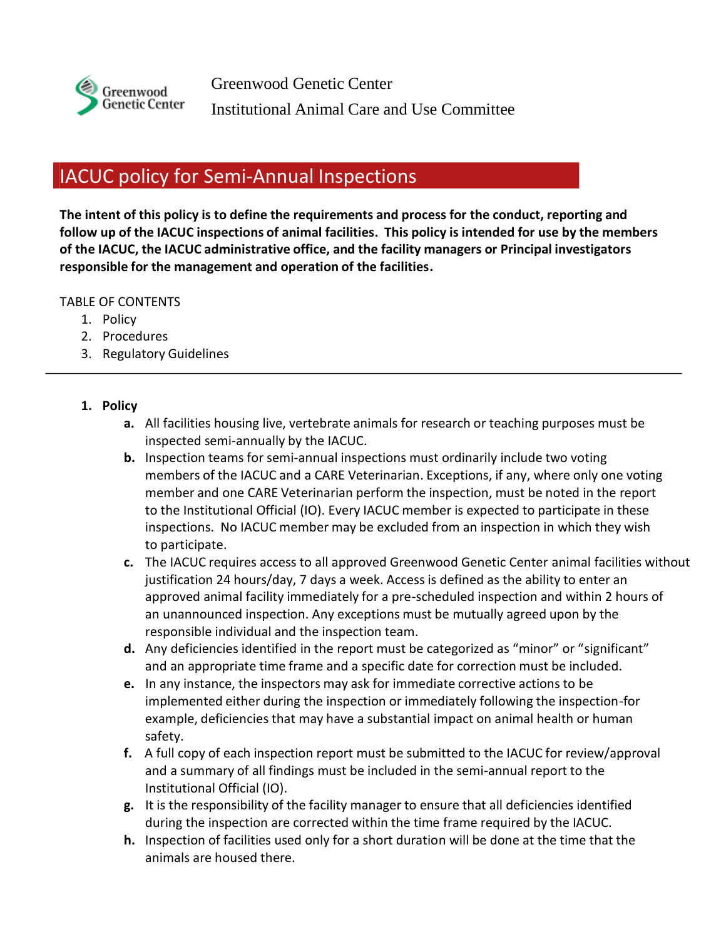

Greenwood Genetic Center Institutional Animal Care and Use Committee

## IACUC policy for Semi-Annual Inspections

**The intent of this policy is to define the requirements and process for the conduct, reporting and follow up of the IACUC inspections of animal facilities. This policy is intended for use by the members of the IACUC, the IACUC administrative office, and the facility managers or Principal investigators responsible for the management and operation of the facilities.**

## TABLE OF CONTENTS

- 1. Policy
- 2. Procedures
- 3. Regulatory Guidelines
- **1. Policy**
	- **a.** All facilities housing live, vertebrate animals for research or teaching purposes must be inspected semi-annually by the IACUC.
	- **b.** Inspection teams for semi-annual inspections must ordinarily include two voting members of the IACUC and a CARE Veterinarian. Exceptions, if any, where only one voting member and one CARE Veterinarian perform the inspection, must be noted in the report to the Institutional Official (IO). Every IACUC member is expected to participate in these inspections. No IACUC member may be excluded from an inspection in which they wish to participate.
	- **c.** The IACUC requires access to all approved Greenwood Genetic Center animal facilities without justification 24 hours/day, 7 days a week. Access is defined as the ability to enter an approved animal facility immediately for a pre-scheduled inspection and within 2 hours of an unannounced inspection. Any exceptions must be mutually agreed upon by the responsible individual and the inspection team.
	- **d.** Any deficiencies identified in the report must be categorized as "minor" or "significant" and an appropriate time frame and a specific date for correction must be included.
	- **e.** In any instance, the inspectors may ask for immediate corrective actions to be implemented either during the inspection or immediately following the inspection-for example, deficiencies that may have a substantial impact on animal health or human safety.
	- **f.** A full copy of each inspection report must be submitted to the IACUC for review/approval and a summary of all findings must be included in the semi-annual report to the Institutional Official (IO).
	- **g.** It is the responsibility of the facility manager to ensure that all deficiencies identified during the inspection are corrected within the time frame required by the IACUC.
	- **h.** Inspection of facilities used only for a short duration will be done at the time that the animals are housed there.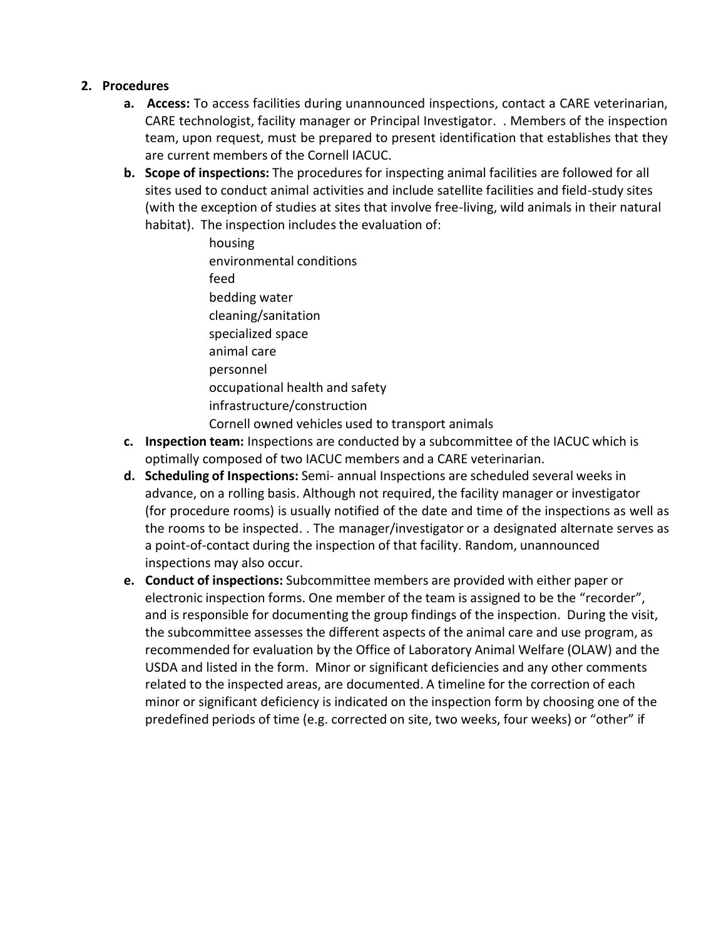## **2. Procedures**

- **a. Access:** To access facilities during unannounced inspections, contact a CARE veterinarian, CARE technologist, facility manager or Principal Investigator. . Members of the inspection team, upon request, must be prepared to present identification that establishes that they are current members of the Cornell IACUC.
- **b. Scope of inspections:** The procedures for inspecting animal facilities are followed for all sites used to conduct animal activities and include satellite facilities and field-study sites (with the exception of studies at sites that involve free-living, wild animals in their natural habitat). The inspection includes the evaluation of:
	- housing environmental conditions feed bedding water cleaning/sanitation specialized space animal care personnel occupational health and safety infrastructure/construction Cornell owned vehicles used to transport animals
- **c. Inspection team:** Inspections are conducted by a subcommittee of the IACUC which is optimally composed of two IACUC members and a CARE veterinarian.
- **d. Scheduling of Inspections:** Semi- annual Inspections are scheduled several weeks in advance, on a rolling basis. Although not required, the facility manager or investigator (for procedure rooms) is usually notified of the date and time of the inspections as well as the rooms to be inspected. . The manager/investigator or a designated alternate serves as a point-of-contact during the inspection of that facility. Random, unannounced inspections may also occur.
- **e. Conduct of inspections:** Subcommittee members are provided with either paper or electronic inspection forms. One member of the team is assigned to be the "recorder", and is responsible for documenting the group findings of the inspection. During the visit, the subcommittee assesses the different aspects of the animal care and use program, as recommended for evaluation by the Office of Laboratory Animal Welfare (OLAW) and the USDA and listed in the form. Minor or significant deficiencies and any other comments related to the inspected areas, are documented. A timeline for the correction of each minor or significant deficiency is indicated on the inspection form by choosing one of the predefined periods of time (e.g. corrected on site, two weeks, four weeks) or "other" if